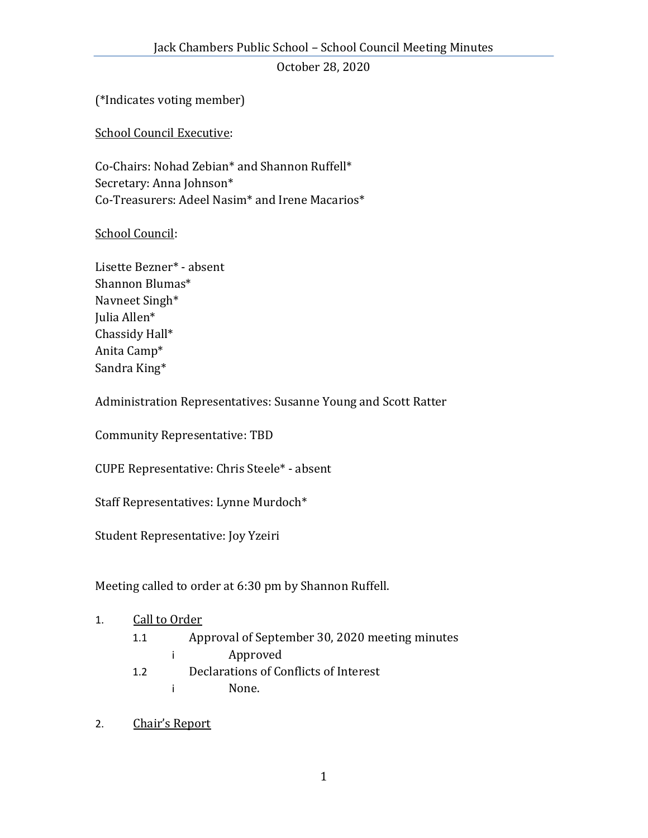(\*Indicates voting member)

School Council Executive:

Co-Chairs: Nohad Zebian\* and Shannon Ruffell\* Secretary: Anna Johnson\* Co-Treasurers: Adeel Nasim\* and Irene Macarios\*

School Council:

Lisette Bezner\* - absent Shannon Blumas\* Navneet Singh\* Julia Allen\* Chassidy Hall\* Anita Camp\* Sandra King\*

Administration Representatives: Susanne Young and Scott Ratter

Community Representative: TBD

CUPE Representative: Chris Steele\* - absent

Staff Representatives: Lynne Murdoch\*

Student Representative: Joy Yzeiri

Meeting called to order at 6:30 pm by Shannon Ruffell.

#### 1. Call to Order

- 1.1 Approval of September 30, 2020 meeting minutes
	- i Approved
- 1.2 Declarations of Conflicts of Interest
	- i None.
- 2. Chair's Report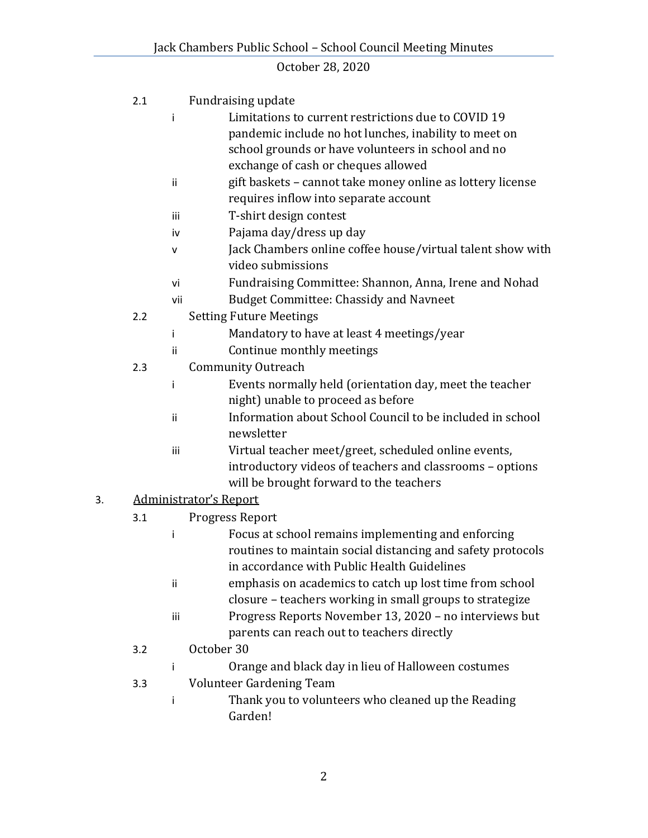|    | 2.1 |                               | Fundraising update                                          |  |
|----|-----|-------------------------------|-------------------------------------------------------------|--|
|    |     | Ť                             | Limitations to current restrictions due to COVID 19         |  |
|    |     |                               | pandemic include no hot lunches, inability to meet on       |  |
|    |     |                               | school grounds or have volunteers in school and no          |  |
|    |     |                               | exchange of cash or cheques allowed                         |  |
|    |     | ii                            | gift baskets - cannot take money online as lottery license  |  |
|    |     |                               | requires inflow into separate account                       |  |
|    |     | iii                           | T-shirt design contest                                      |  |
|    |     | iv                            | Pajama day/dress up day                                     |  |
|    |     | v                             | Jack Chambers online coffee house/virtual talent show with  |  |
|    |     |                               | video submissions                                           |  |
|    |     | vi                            | Fundraising Committee: Shannon, Anna, Irene and Nohad       |  |
|    |     | vii                           | <b>Budget Committee: Chassidy and Navneet</b>               |  |
|    | 2.2 |                               | <b>Setting Future Meetings</b>                              |  |
|    |     | i                             | Mandatory to have at least 4 meetings/year                  |  |
|    |     | Ϊİ                            | Continue monthly meetings                                   |  |
|    | 2.3 |                               | <b>Community Outreach</b>                                   |  |
|    |     | i                             | Events normally held (orientation day, meet the teacher     |  |
|    |     |                               | night) unable to proceed as before                          |  |
|    |     | ii                            | Information about School Council to be included in school   |  |
|    |     |                               | newsletter                                                  |  |
|    |     | iii                           | Virtual teacher meet/greet, scheduled online events,        |  |
|    |     |                               | introductory videos of teachers and classrooms - options    |  |
|    |     |                               | will be brought forward to the teachers                     |  |
| 3. |     | <b>Administrator's Report</b> |                                                             |  |
|    | 3.1 |                               | Progress Report                                             |  |
|    |     | İ                             | Focus at school remains implementing and enforcing          |  |
|    |     |                               | routines to maintain social distancing and safety protocols |  |
|    |     |                               | in accordance with Public Health Guidelines                 |  |
|    |     | ii                            | emphasis on academics to catch up lost time from school     |  |
|    |     |                               | closure - teachers working in small groups to strategize    |  |
|    |     | iii                           | Progress Reports November 13, 2020 - no interviews but      |  |
|    |     |                               | parents can reach out to teachers directly                  |  |
|    | 3.2 |                               | October 30                                                  |  |
|    |     | Ť                             | Orange and black day in lieu of Halloween costumes          |  |
|    | 3.3 |                               | Volunteer Gardening Team                                    |  |
|    |     | Ť                             | Thank you to volunteers who cleaned up the Reading          |  |
|    |     |                               | Garden!                                                     |  |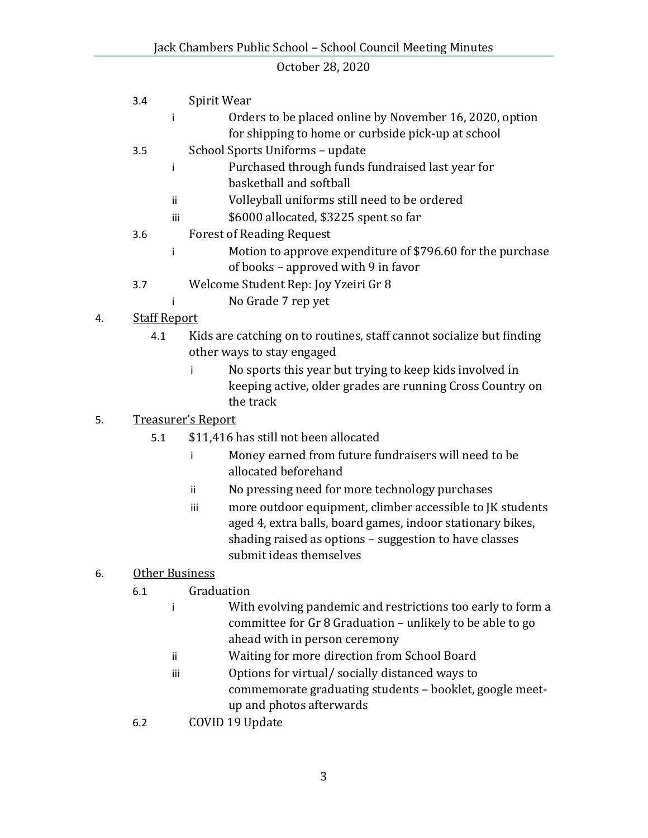- 3.4 Spirit Wear i Orders to be placed online by November 16, 2020, option for shipping to home or curbside pick-up at school 3.5 School Sports Uniforms – update i Purchased through funds fundraised last year for basketball and softball ii Volleyball uniforms still need to be ordered iii \$6000 allocated, \$3225 spent so far 3.6 Forest of Reading Request i Motion to approve expenditure of \$796.60 for the purchase of books – approved with 9 in favor 3.7 Welcome Student Rep: Joy Yzeiri Gr 8 i No Grade 7 rep yet
- 4. Staff Report
	- 4.1 Kids are catching on to routines, staff cannot socialize but finding other ways to stay engaged
		- i No sports this year but trying to keep kids involved in keeping active, older grades are running Cross Country on the track

### 5. Treasurer's Report

- 5.1 \$11,416 has still not been allocated
	- i Money earned from future fundraisers will need to be allocated beforehand
	- ii No pressing need for more technology purchases
	- iii more outdoor equipment, climber accessible to JK students aged 4, extra balls, board games, indoor stationary bikes, shading raised as options – suggestion to have classes submit ideas themselves

#### 6. Other Business

- 6.1 Graduation
	- i With evolving pandemic and restrictions too early to form a committee for Gr 8 Graduation – unlikely to be able to go ahead with in person ceremony
	- ii Waiting for more direction from School Board
	- iii Options for virtual/ socially distanced ways to commemorate graduating students – booklet, google meetup and photos afterwards
- 6.2 COVID 19 Update